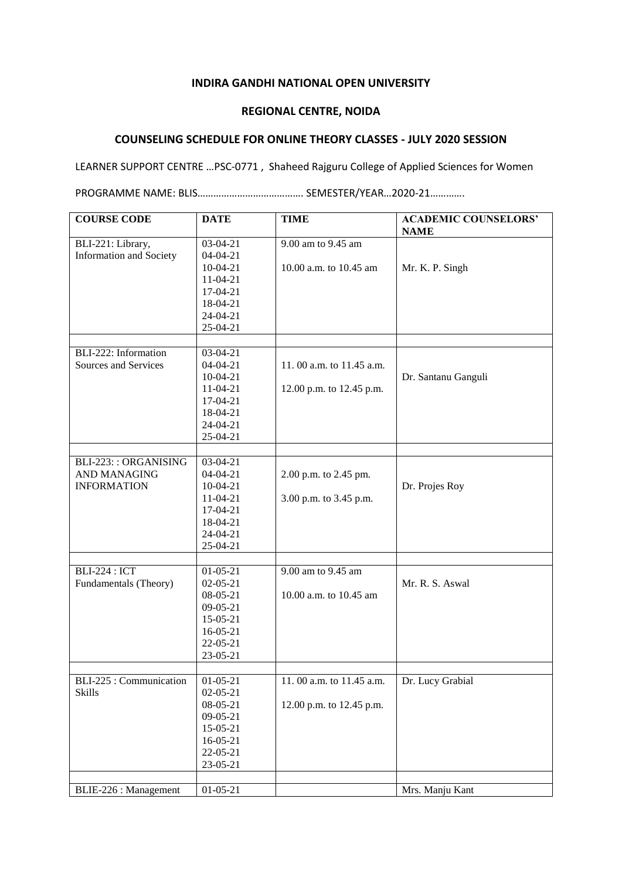## **INDIRA GANDHI NATIONAL OPEN UNIVERSITY**

## **REGIONAL CENTRE, NOIDA**

## **COUNSELING SCHEDULE FOR ONLINE THEORY CLASSES - JULY 2020 SESSION**

LEARNER SUPPORT CENTRE …PSC-0771 , Shaheed Rajguru College of Applied Sciences for Women

PROGRAMME NAME: BLIS…………………………………. SEMESTER/YEAR…2020-21………….

| <b>COURSE CODE</b>                           | <b>DATE</b>                                                                                                  | <b>TIME</b>                                          | <b>ACADEMIC COUNSELORS'</b><br><b>NAME</b> |
|----------------------------------------------|--------------------------------------------------------------------------------------------------------------|------------------------------------------------------|--------------------------------------------|
| BLI-221: Library,<br>Information and Society | 03-04-21<br>$04 - 04 - 21$<br>$10-04-21$<br>$11-04-21$<br>17-04-21<br>18-04-21<br>24-04-21<br>25-04-21       | 9.00 am to 9.45 am<br>10.00 a.m. to 10.45 am         | Mr. K. P. Singh                            |
|                                              |                                                                                                              |                                                      |                                            |
| BLI-222: Information<br>Sources and Services | 03-04-21<br>$04-04-21$<br>$10-04-21$<br>$11-04-21$                                                           | 11.00 a.m. to 11.45 a.m.<br>12.00 p.m. to 12.45 p.m. | Dr. Santanu Ganguli                        |
|                                              | 17-04-21<br>18-04-21<br>$24-04-21$<br>25-04-21                                                               |                                                      |                                            |
|                                              |                                                                                                              |                                                      |                                            |
| BLI-223:: ORGANISING<br><b>AND MANAGING</b>  | 03-04-21<br>$04-04-21$                                                                                       | 2.00 p.m. to 2.45 pm.                                |                                            |
| <b>INFORMATION</b>                           | $10-04-21$<br>$11-04-21$<br>17-04-21<br>18-04-21<br>24-04-21<br>25-04-21                                     | 3.00 p.m. to 3.45 p.m.                               | Dr. Projes Roy                             |
|                                              |                                                                                                              |                                                      |                                            |
| <b>BLI-224: ICT</b><br>Fundamentals (Theory) | $01-05-21$<br>$02 - 05 - 21$<br>08-05-21<br>$09-05-21$<br>15-05-21<br>$16 - 05 - 21$<br>22-05-21<br>23-05-21 | 9.00 am to 9.45 am<br>10.00 a.m. to 10.45 am         | Mr. R. S. Aswal                            |
|                                              |                                                                                                              |                                                      |                                            |
| BLI-225 : Communication<br>Skills            | $01-05-21$<br>$02 - 05 - 21$<br>08-05-21<br>$09-05-21$<br>15-05-21<br>$16-05-21$<br>22-05-21<br>23-05-21     | 11.00 a.m. to 11.45 a.m.<br>12.00 p.m. to 12.45 p.m. | Dr. Lucy Grabial                           |
| BLIE-226 : Management                        | $01 - 05 - 21$                                                                                               |                                                      | Mrs. Manju Kant                            |
|                                              |                                                                                                              |                                                      |                                            |